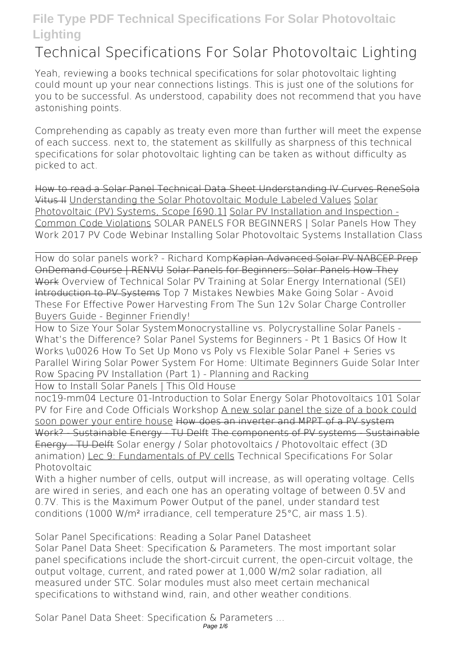# **Technical Specifications For Solar Photovoltaic Lighting**

Yeah, reviewing a books **technical specifications for solar photovoltaic lighting** could mount up your near connections listings. This is just one of the solutions for you to be successful. As understood, capability does not recommend that you have astonishing points.

Comprehending as capably as treaty even more than further will meet the expense of each success. next to, the statement as skillfully as sharpness of this technical specifications for solar photovoltaic lighting can be taken as without difficulty as picked to act.

How to read a Solar Panel Technical Data Sheet Understanding IV Curves ReneSola Vitus II Understanding the Solar Photovoltaic Module Labeled Values Solar Photovoltaic (PV) Systems, Scope [690.1] Solar PV Installation and Inspection - Common Code Violations *SOLAR PANELS FOR BEGINNERS | Solar Panels How They Work 2017 PV Code Webinar Installing Solar Photovoltaic Systems Installation Class*

How do solar panels work? - Richard Komp<del>Kaplan Advanced Solar PV NABCEP Prep</del> OnDemand Course | RENVU Solar Panels for Beginners: Solar Panels How They Work **Overview of Technical Solar PV Training at Solar Energy International (SEI)** Introduction to PV Systems *Top 7 Mistakes Newbies Make Going Solar - Avoid These For Effective Power Harvesting From The Sun 12v Solar Charge Controller Buyers Guide - Beginner Friendly!*

How to Size Your Solar System**Monocrystalline vs. Polycrystalline Solar Panels - What's the Difference?** Solar Panel Systems for Beginners - Pt 1 Basics Of How It Works \u0026 How To Set Up *Mono vs Poly vs Flexible Solar Panel + Series vs Parallel Wiring Solar Power System For Home: Ultimate Beginners Guide Solar Inter Row Spacing* PV Installation (Part 1) - Planning and Racking

How to Install Solar Panels | This Old House

noc19-mm04 Lecture 01-Introduction to Solar Energy Solar Photovoltaics 101 *Solar* PV for Fire and Code Officials Workshop A new solar panel the size of a book could soon power your entire house How does an inverter and MPPT of a PV system Work? Sustainable Energy TU Delft The components of PV systems Sustainable Energy - TU Delft *Solar energy / Solar photovoltaics / Photovoltaic effect (3D animation)* Lec 9: Fundamentals of PV cells Technical Specifications For Solar Photovoltaic

With a higher number of cells, output will increase, as will operating voltage. Cells are wired in series, and each one has an operating voltage of between 0.5V and 0.7V. This is the Maximum Power Output of the panel, under standard test conditions (1000 W/m² irradiance, cell temperature 25°C, air mass 1.5).

Solar Panel Specifications: Reading a Solar Panel Datasheet Solar Panel Data Sheet: Specification & Parameters. The most important solar panel specifications include the short-circuit current, the open-circuit voltage, the output voltage, current, and rated power at 1,000 W/m2 solar radiation, all

measured under STC. Solar modules must also meet certain mechanical specifications to withstand wind, rain, and other weather conditions.

Solar Panel Data Sheet: Specification & Parameters ...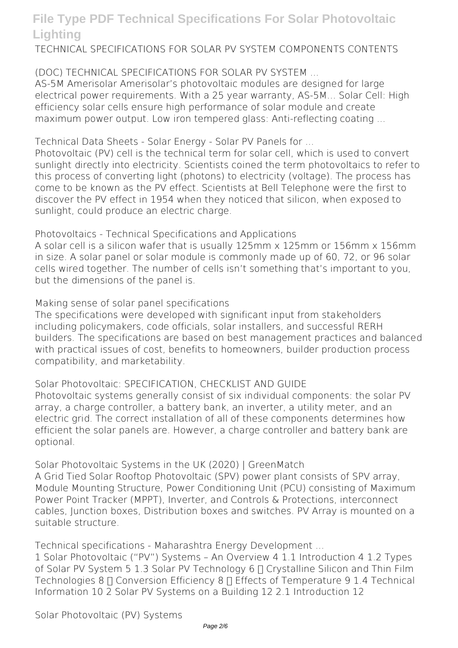TECHNICAL SPECIFICATIONS FOR SOLAR PV SYSTEM COMPONENTS CONTENTS

(DOC) TECHNICAL SPECIFICATIONS FOR SOLAR PV SYSTEM ...

AS-5M Amerisolar Amerisolar's photovoltaic modules are designed for large electrical power requirements. With a 25 year warranty, AS-5M... Solar Cell: High efficiency solar cells ensure high performance of solar module and create maximum power output. Low iron tempered glass: Anti-reflecting coating ...

Technical Data Sheets - Solar Energy - Solar PV Panels for ...

Photovoltaic (PV) cell is the technical term for solar cell, which is used to convert sunlight directly into electricity. Scientists coined the term photovoltaics to refer to this process of converting light (photons) to electricity (voltage). The process has come to be known as the PV effect. Scientists at Bell Telephone were the first to discover the PV effect in 1954 when they noticed that silicon, when exposed to sunlight, could produce an electric charge.

Photovoltaics - Technical Specifications and Applications

A solar cell is a silicon wafer that is usually 125mm x 125mm or 156mm x 156mm in size. A solar panel or solar module is commonly made up of 60, 72, or 96 solar cells wired together. The number of cells isn't something that's important to you, but the dimensions of the panel is.

Making sense of solar panel specifications

The specifications were developed with significant input from stakeholders including policymakers, code officials, solar installers, and successful RERH builders. The specifications are based on best management practices and balanced with practical issues of cost, benefits to homeowners, builder production process compatibility, and marketability.

Solar Photovoltaic: SPECIFICATION, CHECKLIST AND GUIDE

Photovoltaic systems generally consist of six individual components: the solar PV array, a charge controller, a battery bank, an inverter, a utility meter, and an electric grid. The correct installation of all of these components determines how efficient the solar panels are. However, a charge controller and battery bank are optional.

Solar Photovoltaic Systems in the UK (2020) | GreenMatch

A Grid Tied Solar Rooftop Photovoltaic (SPV) power plant consists of SPV array, Module Mounting Structure, Power Conditioning Unit (PCU) consisting of Maximum Power Point Tracker (MPPT), Inverter, and Controls & Protections, interconnect cables, Junction boxes, Distribution boxes and switches. PV Array is mounted on a suitable structure.

Technical specifications - Maharashtra Energy Development ...

1 Solar Photovoltaic ("PV") Systems – An Overview 4 1.1 Introduction 4 1.2 Types of Solar PV System 5 1.3 Solar PV Technology  $6 \Pi$  Crystalline Silicon and Thin Film Technologies 8  $\Box$  Conversion Efficiency 8  $\Box$  Effects of Temperature 9 1.4 Technical Information 10 2 Solar PV Systems on a Building 12 2.1 Introduction 12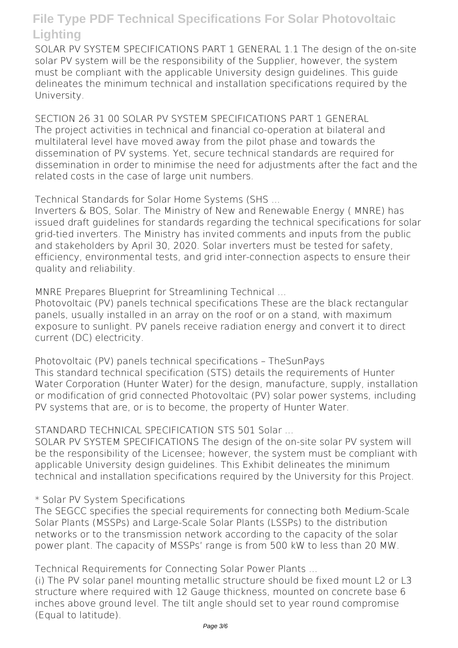SOLAR PV SYSTEM SPECIFICATIONS PART 1 GENERAL 1.1 The design of the on-site solar PV system will be the responsibility of the Supplier, however, the system must be compliant with the applicable University design guidelines. This guide delineates the minimum technical and installation specifications required by the University.

SECTION 26 31 00 SOLAR PV SYSTEM SPECIFICATIONS PART 1 GENERAL The project activities in technical and financial co-operation at bilateral and multilateral level have moved away from the pilot phase and towards the dissemination of PV systems. Yet, secure technical standards are required for dissemination in order to minimise the need for adjustments after the fact and the related costs in the case of large unit numbers.

Technical Standards for Solar Home Systems (SHS ...

Inverters & BOS, Solar. The Ministry of New and Renewable Energy ( MNRE) has issued draft guidelines for standards regarding the technical specifications for solar grid-tied inverters. The Ministry has invited comments and inputs from the public and stakeholders by April 30, 2020. Solar inverters must be tested for safety, efficiency, environmental tests, and grid inter-connection aspects to ensure their quality and reliability.

MNRE Prepares Blueprint for Streamlining Technical ...

Photovoltaic (PV) panels technical specifications These are the black rectangular panels, usually installed in an array on the roof or on a stand, with maximum exposure to sunlight. PV panels receive radiation energy and convert it to direct current (DC) electricity.

Photovoltaic (PV) panels technical specifications – TheSunPays This standard technical specification (STS) details the requirements of Hunter Water Corporation (Hunter Water) for the design, manufacture, supply, installation or modification of grid connected Photovoltaic (PV) solar power systems, including PV systems that are, or is to become, the property of Hunter Water.

#### STANDARD TECHNICAL SPECIFICATION STS 501 Solar ...

SOLAR PV SYSTEM SPECIFICATIONS The design of the on-site solar PV system will be the responsibility of the Licensee; however, the system must be compliant with applicable University design guidelines. This Exhibit delineates the minimum technical and installation specifications required by the University for this Project.

#### \* Solar PV System Specifications

The SEGCC specifies the special requirements for connecting both Medium-Scale Solar Plants (MSSPs) and Large-Scale Solar Plants (LSSPs) to the distribution networks or to the transmission network according to the capacity of the solar power plant. The capacity of MSSPs' range is from 500 kW to less than 20 MW.

Technical Requirements for Connecting Solar Power Plants ...

(i) The PV solar panel mounting metallic structure should be fixed mount L2 or L3 structure where required with 12 Gauge thickness, mounted on concrete base 6 inches above ground level. The tilt angle should set to year round compromise (Equal to latitude).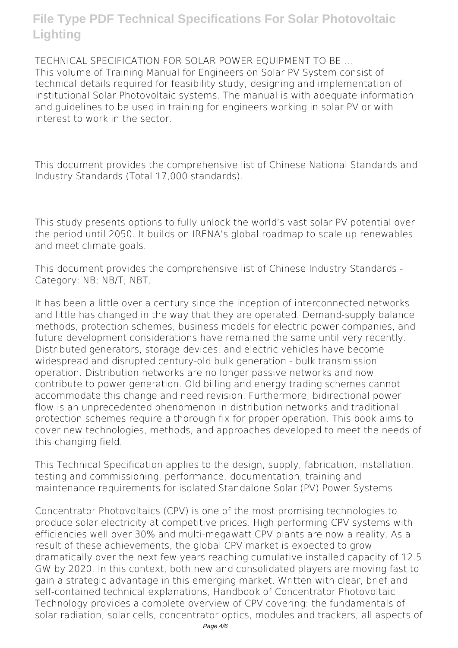TECHNICAL SPECIFICATION FOR SOLAR POWER EQUIPMENT TO BE ... This volume of Training Manual for Engineers on Solar PV System consist of technical details required for feasibility study, designing and implementation of institutional Solar Photovoltaic systems. The manual is with adequate information and guidelines to be used in training for engineers working in solar PV or with interest to work in the sector.

This document provides the comprehensive list of Chinese National Standards and Industry Standards (Total 17,000 standards).

This study presents options to fully unlock the world's vast solar PV potential over the period until 2050. It builds on IRENA's global roadmap to scale up renewables and meet climate goals.

This document provides the comprehensive list of Chinese Industry Standards - Category: NB; NB/T; NBT.

It has been a little over a century since the inception of interconnected networks and little has changed in the way that they are operated. Demand-supply balance methods, protection schemes, business models for electric power companies, and future development considerations have remained the same until very recently. Distributed generators, storage devices, and electric vehicles have become widespread and disrupted century-old bulk generation - bulk transmission operation. Distribution networks are no longer passive networks and now contribute to power generation. Old billing and energy trading schemes cannot accommodate this change and need revision. Furthermore, bidirectional power flow is an unprecedented phenomenon in distribution networks and traditional protection schemes require a thorough fix for proper operation. This book aims to cover new technologies, methods, and approaches developed to meet the needs of this changing field.

This Technical Specification applies to the design, supply, fabrication, installation, testing and commissioning, performance, documentation, training and maintenance requirements for isolated Standalone Solar (PV) Power Systems.

Concentrator Photovoltaics (CPV) is one of the most promising technologies to produce solar electricity at competitive prices. High performing CPV systems with efficiencies well over 30% and multi-megawatt CPV plants are now a reality. As a result of these achievements, the global CPV market is expected to grow dramatically over the next few years reaching cumulative installed capacity of 12.5 GW by 2020. In this context, both new and consolidated players are moving fast to gain a strategic advantage in this emerging market. Written with clear, brief and self-contained technical explanations, Handbook of Concentrator Photovoltaic Technology provides a complete overview of CPV covering: the fundamentals of solar radiation, solar cells, concentrator optics, modules and trackers; all aspects of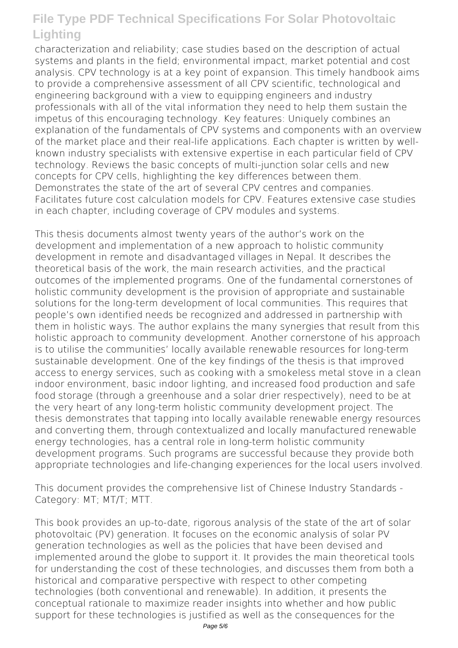characterization and reliability; case studies based on the description of actual systems and plants in the field; environmental impact, market potential and cost analysis. CPV technology is at a key point of expansion. This timely handbook aims to provide a comprehensive assessment of all CPV scientific, technological and engineering background with a view to equipping engineers and industry professionals with all of the vital information they need to help them sustain the impetus of this encouraging technology. Key features: Uniquely combines an explanation of the fundamentals of CPV systems and components with an overview of the market place and their real-life applications. Each chapter is written by wellknown industry specialists with extensive expertise in each particular field of CPV technology. Reviews the basic concepts of multi-junction solar cells and new concepts for CPV cells, highlighting the key differences between them. Demonstrates the state of the art of several CPV centres and companies. Facilitates future cost calculation models for CPV. Features extensive case studies in each chapter, including coverage of CPV modules and systems.

This thesis documents almost twenty years of the author's work on the development and implementation of a new approach to holistic community development in remote and disadvantaged villages in Nepal. It describes the theoretical basis of the work, the main research activities, and the practical outcomes of the implemented programs. One of the fundamental cornerstones of holistic community development is the provision of appropriate and sustainable solutions for the long-term development of local communities. This requires that people's own identified needs be recognized and addressed in partnership with them in holistic ways. The author explains the many synergies that result from this holistic approach to community development. Another cornerstone of his approach is to utilise the communities' locally available renewable resources for long-term sustainable development. One of the key findings of the thesis is that improved access to energy services, such as cooking with a smokeless metal stove in a clean indoor environment, basic indoor lighting, and increased food production and safe food storage (through a greenhouse and a solar drier respectively), need to be at the very heart of any long-term holistic community development project. The thesis demonstrates that tapping into locally available renewable energy resources and converting them, through contextualized and locally manufactured renewable energy technologies, has a central role in long-term holistic community development programs. Such programs are successful because they provide both appropriate technologies and life-changing experiences for the local users involved.

This document provides the comprehensive list of Chinese Industry Standards - Category: MT; MT/T; MTT.

This book provides an up-to-date, rigorous analysis of the state of the art of solar photovoltaic (PV) generation. It focuses on the economic analysis of solar PV generation technologies as well as the policies that have been devised and implemented around the globe to support it. It provides the main theoretical tools for understanding the cost of these technologies, and discusses them from both a historical and comparative perspective with respect to other competing technologies (both conventional and renewable). In addition, it presents the conceptual rationale to maximize reader insights into whether and how public support for these technologies is justified as well as the consequences for the